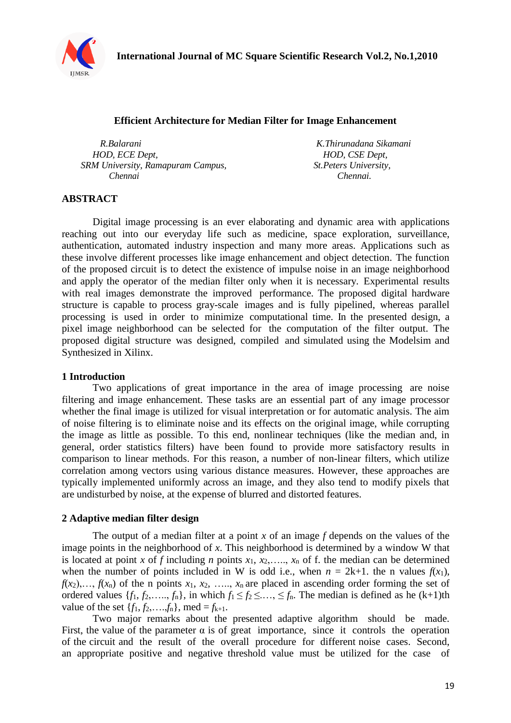

#### **Efficient Architecture for Median Filter for Image Enhancement**

*R.Balarani K.Thirunadana Sikamani HOD, ECE Dept, HOD, CSE Dept, SRM University, Ramapuram Campus, St.Peters University, Chennai Chennai.*

# **ABSTRACT**

Digital image processing is an ever elaborating and dynamic area with applications reaching out into our everyday life such as medicine, space exploration, surveillance, authentication, automated industry inspection and many more areas. Applications such as these involve different processes like image enhancement and object detection. The function of the proposed circuit is to detect the existence of impulse noise in an image neighborhood and apply the operator of the median filter only when it is necessary. Experimental results with real images demonstrate the improved performance. The proposed digital hardware structure is capable to process gray-scale images and is fully pipelined, whereas parallel processing is used in order to minimize computational time. In the presented design, a pixel image neighborhood can be selected for the computation of the filter output. The proposed digital structure was designed, compiled and simulated using the Modelsim and Synthesized in Xilinx.

## **1 Introduction**

Two applications of great importance in the area of image processing are noise filtering and image enhancement. These tasks are an essential part of any image processor whether the final image is utilized for visual interpretation or for automatic analysis. The aim of noise filtering is to eliminate noise and its effects on the original image, while corrupting the image as little as possible. To this end, nonlinear techniques (like the median and, in general, order statistics filters) have been found to provide more satisfactory results in comparison to linear methods. For this reason, a number of non-linear filters, which utilize correlation among vectors using various distance measures. However, these approaches are typically implemented uniformly across an image, and they also tend to modify pixels that are undisturbed by noise, at the expense of blurred and distorted features.

## **2 Adaptive median filter design**

The output of a median filter at a point *x* of an image *f* depends on the values of the image points in the neighborhood of *x*. This neighborhood is determined by a window W that is located at point *x* of *f* including *n* points  $x_1, x_2, \ldots, x_n$  of f. the median can be determined when the number of points included in W is odd i.e., when  $n = 2k+1$ . the n values  $f(x_1)$ ,  $f(x_2),..., f(x_n)$  of the n points  $x_1, x_2, ..., x_n$  are placed in ascending order forming the set of ordered values  $\{f_1, f_2, \ldots, f_n\}$ , in which  $f_1 \leq f_2 \leq \ldots, \leq f_n$ . The median is defined as he  $(k+1)$ th value of the set  $\{f_1, f_2, \ldots, f_n\}$ , med =  $f_{k+1}$ .

Two major remarks about the presented adaptive algorithm should be made. First, the value of the parameter  $\alpha$  is of great importance, since it controls the operation of the circuit and the result of the overall procedure for different noise cases. Second, an appropriate positive and negative threshold value must be utilized for the case of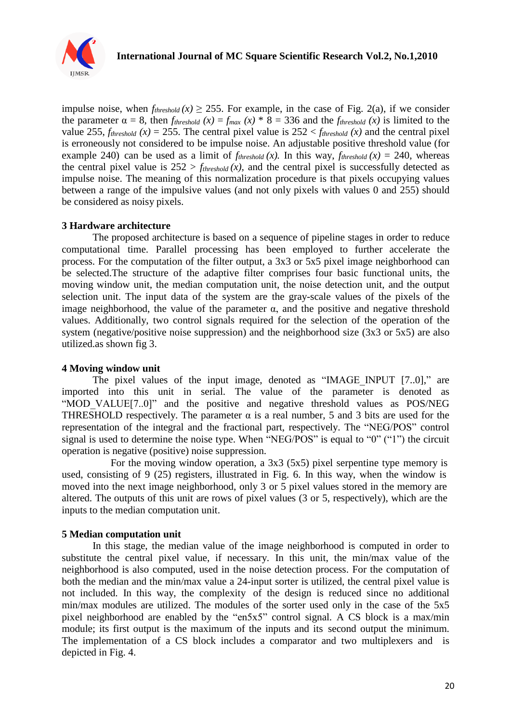

impulse noise, when  $f_{threshold}(x) \ge 255$ . For example, in the case of Fig. 2(a), if we consider the parameter  $\alpha = 8$ , then  $f_{threshold}(x) = f_{max}(x) * 8 = 336$  and the  $f_{threshold}(x)$  is limited to the value 255,  $f_{threshold}(x) = 255$ . The central pixel value is  $252 < f_{threshold}(x)$  and the central pixel is erroneously not considered to be impulse noise. An adjustable positive threshold value (for example 240) can be used as a limit of  $f_{threshold}(x)$ . In this way,  $f_{threshold}(x) = 240$ , whereas the central pixel value is  $252 > f_{threshold}(x)$ , and the central pixel is successfully detected as impulse noise. The meaning of this normalization procedure is that pixels occupying values between a range of the impulsive values (and not only pixels with values 0 and 255) should be considered as noisy pixels.

#### **3 Hardware architecture**

The proposed architecture is based on a sequence of pipeline stages in order to reduce computational time. Parallel processing has been employed to further accelerate the process. For the computation of the filter output, a 3x3 or 5x5 pixel image neighborhood can be selected.The structure of the adaptive filter comprises four basic functional units, the moving window unit, the median computation unit, the noise detection unit, and the output selection unit. The input data of the system are the gray-scale values of the pixels of the image neighborhood, the value of the parameter  $\alpha$ , and the positive and negative threshold values. Additionally, two control signals required for the selection of the operation of the system (negative/positive noise suppression) and the neighborhood size (3x3 or 5x5) are also utilized.as shown fig 3.

## **4 Moving window unit**

The pixel values of the input image, denoted as "IMAGE\_INPUT [7..0]," are imported into this unit in serial. The value of the parameter is denoted as "MOD\_VALUE[7..0]" and the positive and negative threshold values as POS/NEG THRESHOLD respectively. The parameter  $\alpha$  is a real number, 5 and 3 bits are used for the representation of the integral and the fractional part, respectively. The "NEG/POS" control signal is used to determine the noise type. When "NEG/POS" is equal to "0" ("1") the circuit operation is negative (positive) noise suppression.

For the moving window operation, a 3x3 (5x5) pixel serpentine type memory is used, consisting of 9 (25) registers, illustrated in Fig. 6. In this way, when the window is moved into the next image neighborhood, only 3 or 5 pixel values stored in the memory are altered. The outputs of this unit are rows of pixel values (3 or 5, respectively), which are the inputs to the median computation unit.

## **5 Median computation unit**

In this stage, the median value of the image neighborhood is computed in order to substitute the central pixel value, if necessary. In this unit, the min/max value of the neighborhood is also computed, used in the noise detection process. For the computation of both the median and the min/max value a 24-input sorter is utilized, the central pixel value is not included. In this way, the complexity of the design is reduced since no additional min/max modules are utilized. The modules of the sorter used only in the case of the 5x5 pixel neighborhood are enabled by the "en5x5" control signal. A CS block is a max/min module; its first output is the maximum of the inputs and its second output the minimum. The implementation of a CS block includes a comparator and two multiplexers and is depicted in Fig. 4.